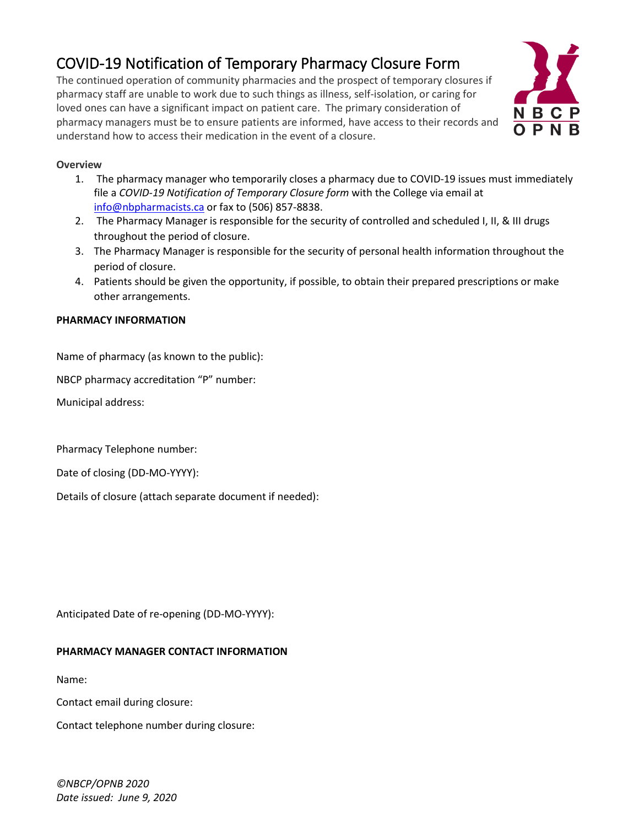# COVID-19 Notification of Temporary Pharmacy Closure Form

The continued operation of community pharmacies and the prospect of temporary closures if pharmacy staff are unable to work due to such things as illness, self-isolation, or caring for loved ones can have a significant impact on patient care. The primary consideration of pharmacy managers must be to ensure patients are informed, have access to their records and understand how to access their medication in the event of a closure.



### **Overview**

- 1. The pharmacy manager who temporarily closes a pharmacy due to COVID-19 issues must immediately file a *COVID-19 Notification of Temporary Closure form* with the College via email at [info@nbpharmacists.ca](mailto:info@nbpharmacists.ca) or fax to (506) 857-8838.
- 2. The Pharmacy Manager is responsible for the security of controlled and scheduled I, II, & III drugs throughout the period of closure.
- 3. The Pharmacy Manager is responsible for the security of personal health information throughout the period of closure.
- 4. Patients should be given the opportunity, if possible, to obtain their prepared prescriptions or make other arrangements.

### **PHARMACY INFORMATION**

Name of pharmacy (as known to the public):

NBCP pharmacy accreditation "P" number:

Municipal address:

Pharmacy Telephone number:

Date of closing (DD-MO-YYYY):

Details of closure (attach separate document if needed):

Anticipated Date of re-opening (DD-MO-YYYY):

## **PHARMACY MANAGER CONTACT INFORMATION**

Name:

Contact email during closure:

Contact telephone number during closure:

*©NBCP/OPNB 2020 Date issued: June 9, 2020*